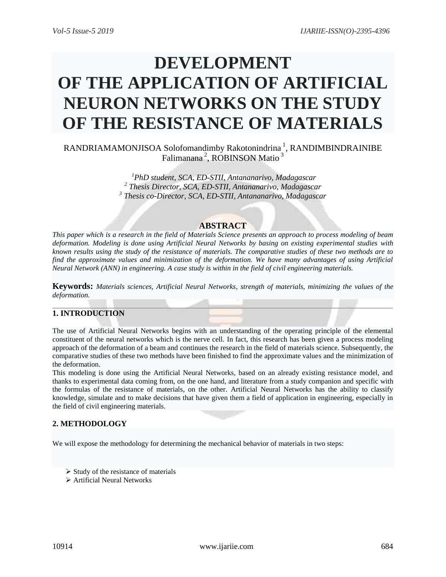# **DEVELOPMENT OF THE APPLICATION OF ARTIFICIAL NEURON NETWORKS ON THE STUDY OF THE RESISTANCE OF MATERIALS**

RANDRIAMAMONJISOA Solofomandimby Rakotonindrina<sup>1</sup>, RANDIMBINDRAINIBE Falimanana<sup>2</sup>, ROBINSON Matio<sup>3</sup>

> *<sup>1</sup>PhD student, SCA, ED-STII, Antananarivo, Madagascar 2 Thesis Director, SCA, ED-STII, Antananarivo, Madagascar 3 Thesis co-Director, SCA, ED-STII, Antananarivo, Madagascar*

### **ABSTRACT**

*This paper which is a research in the field of Materials Science presents an approach to process modeling of beam deformation. Modeling is done using Artificial Neural Networks by basing on existing experimental studies with known results using the study of the resistance of materials. The comparative studies of these two methods are to find the approximate values and minimization of the deformation. We have many advantages of using Artificial Neural Network (ANN) in engineering. A case study is within in the field of civil engineering materials.*

**Keywords:** *Materials sciences, Artificial Neural Networks, strength of materials, minimizing the values of the deformation.*

## **1. INTRODUCTION**

The use of Artificial Neural Networks begins with an understanding of the operating principle of the elemental constituent of the neural networks which is the nerve cell. In fact, this research has been given a process modeling approach of the deformation of a beam and continues the research in the field of materials science. Subsequently, the comparative studies of these two methods have been finished to find the approximate values and the minimization of the deformation.

This modeling is done using the Artificial Neural Networks, based on an already existing resistance model, and thanks to experimental data coming from, on the one hand, and literature from a study companion and specific with the formulas of the resistance of materials, on the other. Artificial Neural Networks has the ability to classify knowledge, simulate and to make decisions that have given them a field of application in engineering, especially in the field of civil engineering materials.

#### **2. METHODOLOGY**

We will expose the methodology for determining the mechanical behavior of materials in two steps:

- $\triangleright$  Study of the resistance of materials
- Artificial Neural Networks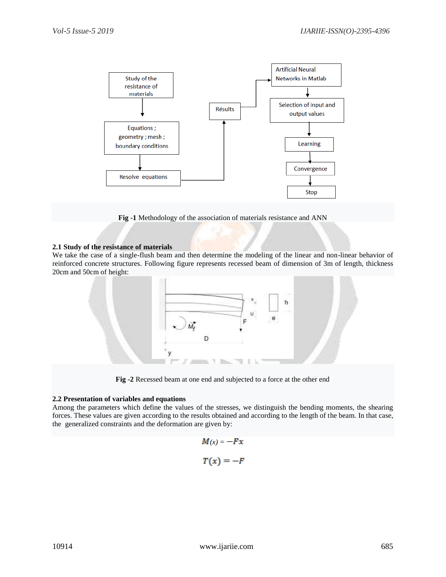

**Fig -1** Methodology of the association of materials resistance and ANN

#### **2.1 Study of the resistance of materials**

We take the case of a single-flush beam and then determine the modeling of the linear and non-linear behavior of reinforced concrete structures. Following figure represents recessed beam of dimension of 3m of length, thickness 20cm and 50cm of height:



**Fig -2** Recessed beam at one end and subjected to a force at the other end

#### **2.2 Presentation of variables and equations**

Among the parameters which define the values of the stresses, we distinguish the bending moments, the shearing forces. These values are given according to the results obtained and according to the length of the beam. In that case, the generalized constraints and the deformation are given by:

$$
M(x) = -Fx
$$

$$
T(x) = -F
$$

I,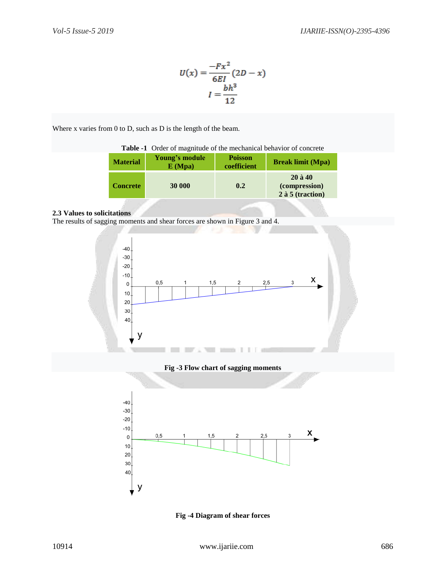$$
U(x) = \frac{-Fx^{2}}{6EI}(2D - x)
$$

$$
I = \frac{bh^{3}}{12}
$$

Where x varies from 0 to D, such as D is the length of the beam.

| Table -1 Order of magnitude of the mechanical behavior of concrete |                          |                               |                                                  |  |  |  |  |
|--------------------------------------------------------------------|--------------------------|-------------------------------|--------------------------------------------------|--|--|--|--|
| <b>Material</b>                                                    | Young's module<br>E(Mpa) | <b>Poisson</b><br>coefficient | <b>Break limit (Mpa)</b>                         |  |  |  |  |
| <b>Concrete</b>                                                    | 30 000                   | 0.2                           | $20$ à 40<br>(compression)<br>$2$ à 5 (traction) |  |  |  |  |

#### **2.3 Values to solicitations**

The results of sagging moments and shear forces are shown in Figure 3 and 4.





20 30  $40<sub>1</sub>$ 

у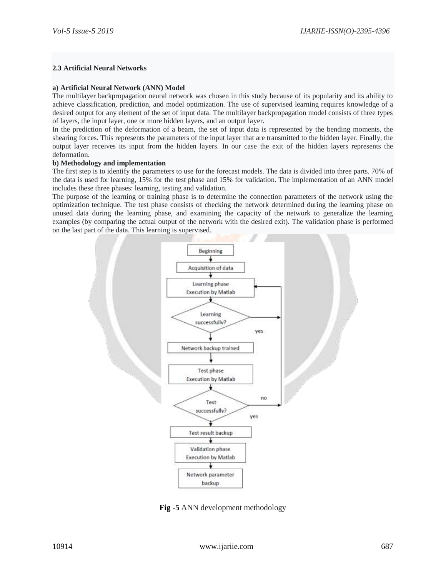#### **2.3 Artificial Neural Networks**

#### **a) Artificial Neural Network (ANN) Model**

The multilayer backpropagation neural network was chosen in this study because of its popularity and its ability to achieve classification, prediction, and model optimization. The use of supervised learning requires knowledge of a desired output for any element of the set of input data. The multilayer backpropagation model consists of three types of layers, the input layer, one or more hidden layers, and an output layer.

In the prediction of the deformation of a beam, the set of input data is represented by the bending moments, the shearing forces. This represents the parameters of the input layer that are transmitted to the hidden layer. Finally, the output layer receives its input from the hidden layers. In our case the exit of the hidden layers represents the deformation.

#### **b) Methodology and implementation**

The first step is to identify the parameters to use for the forecast models. The data is divided into three parts. 70% of the data is used for learning, 15% for the test phase and 15% for validation. The implementation of an ANN model includes these three phases: learning, testing and validation.

The purpose of the learning or training phase is to determine the connection parameters of the network using the optimization technique. The test phase consists of checking the network determined during the learning phase on unused data during the learning phase, and examining the capacity of the network to generalize the learning examples (by comparing the actual output of the network with the desired exit). The validation phase is performed on the last part of the data. This learning is supervised.



**Fig -5** ANN development methodology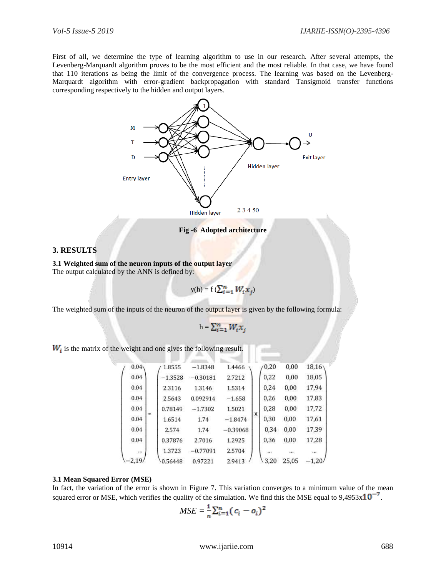First of all, we determine the type of learning algorithm to use in our research. After several attempts, the Levenberg-Marquardt algorithm proves to be the most efficient and the most reliable. In that case, we have found that 110 iterations as being the limit of the convergence process. The learning was based on the Levenberg-Marquardt algorithm with error-gradient backpropagation with standard Tansigmoid transfer functions corresponding respectively to the hidden and output layers.



**Fig -6 Adopted architecture**

#### **3. RESULTS**

**3.1 Weighted sum of the neuron inputs of the output layer** The output calculated by the ANN is defined by:

 $y(h) = f(\sum_{i=1}^{n} W_i x_i)$ 

The weighted sum of the inputs of the neuron of the output layer is given by the following formula:

 $h = \sum_{i=1}^{n} W_i x_i$ 

 $W_i$  is the matrix of the weight and one gives the following result.

| 0.04     |     | 1.8555    | $-1.8348$  | 1.4466     |   | (0, 20) | 0,00  | 18,16   |  |
|----------|-----|-----------|------------|------------|---|---------|-------|---------|--|
| 0.04     | $=$ | $-1.3528$ | $-0.30181$ | 2.7212     |   | 0.22    | 0.00  | 18,05   |  |
| 0.04     |     | 2.3116    | 1.3146     | 1.5314     |   | 0,24    | 0,00  | 17.94   |  |
| 0.04     |     | 2.5643    | 0.092914   | $-1.658$   |   | 0,26    | 0,00  | 17,83   |  |
| 0.04     |     | 0.78149   | $-1.7302$  | 1.5021     |   | 0.28    | 0,00  | 17,72   |  |
| 0.04     |     | 1.6514    | 1.74       | $-1.8474$  | X | 0,30    | 0,00  | 17,61   |  |
| 0.04     |     | 2.574     | 1.74       | $-0.39068$ |   | 0,34    | 0,00  | 17,39   |  |
| 0.04     |     | 0.37876   | 2.7016     | 1.2925     |   | 0.36    | 0,00  | 17,28   |  |
| $\cdots$ |     | 1.3723    | $-0.77091$ | 2.5704     |   |         |       |         |  |
| $-2,19/$ |     | 0.56448   | 0.97221    | 2.9413     |   | 3.20    | 25.05 | $-1.20$ |  |

#### **3.1 Mean Squared Error (MSE)**

In fact, the variation of the error is shown in Figure 7. This variation converges to a minimum value of the mean squared error or MSE, which verifies the quality of the simulation. We find this the MSE equal to  $9,4953 \times 10^{-7}$ .

$$
MSE = \frac{1}{n} \sum_{i=1}^{n} (c_i - o_i)^2
$$

10914 www.ijariie.com 688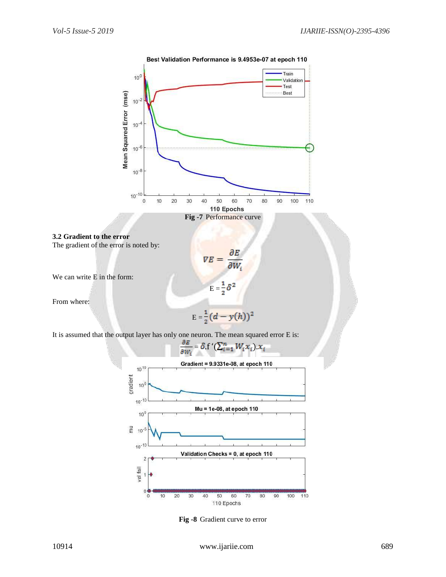

Best Validation Performance is 9.4953e-07 at epoch 110



The gradient of the error is noted by:

We can write E in the form:

From where:

$$
E=\frac{1}{2}(d-y(h))^2
$$

 $E = \frac{1}{2}\delta^2$ 

 $\nabla E =$ 

 $\frac{\partial E}{\partial W_i}$ 

It is assumed that the output layer has only one neuron. The mean squared error E is:



**Fig -8** Gradient curve to error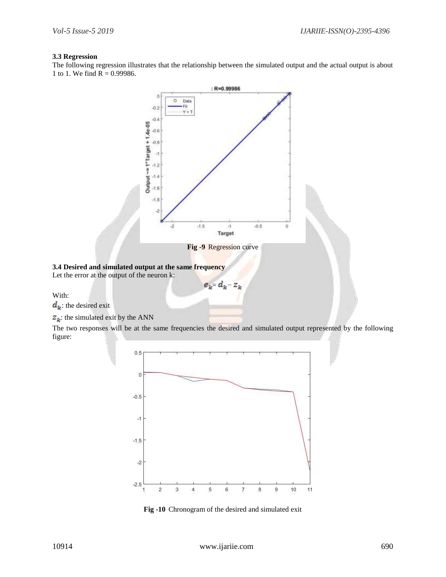#### **3.3 Regression**

The following regression illustrates that the relationship between the simulated output and the actual output is about 1 to 1. We find  $R = 0.99986$ .



**Fig -9** Regression curve

 $e_k = d_k - z_k$ 

# **3.4 Desired and simulated output at the same frequency**

Let the error at the output of the neuron k:

With:

 $d_k$  the desired exit

 $Z_k$ : the simulated exit by the ANN

The two responses will be at the same frequencies the desired and simulated output represented by the following figure:



**Fig -10** Chronogram of the desired and simulated exit